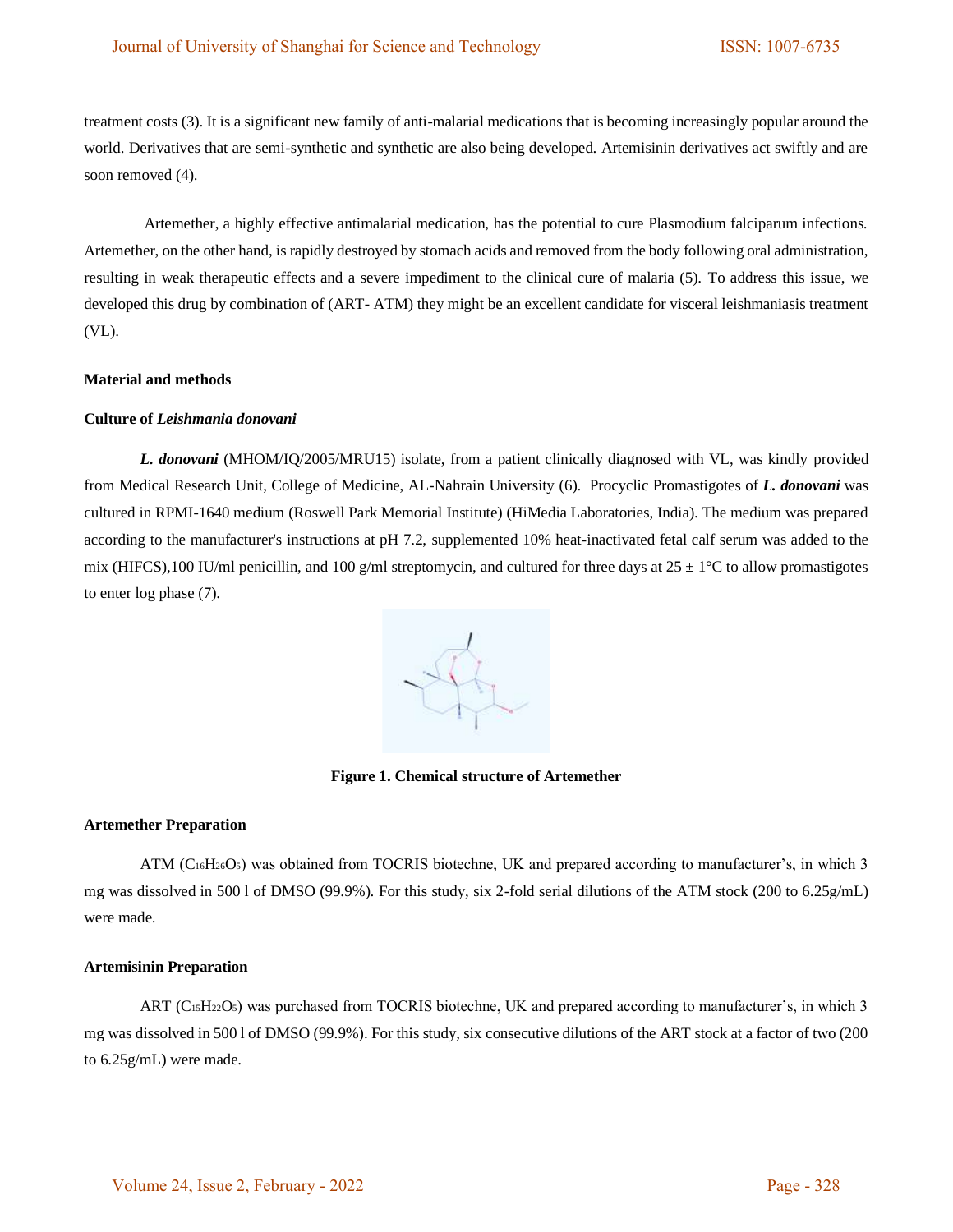treatment costs (3). It is a significant new family of anti-malarial medications that is becoming increasingly popular around the world. Derivatives that are semi-synthetic and synthetic are also being developed. Artemisinin derivatives act swiftly and are soon removed (4).

Artemether, a highly effective antimalarial medication, has the potential to cure Plasmodium falciparum infections. Artemether, on the other hand, is rapidly destroyed by stomach acids and removed from the body following oral administration, resulting in weak therapeutic effects and a severe impediment to the clinical cure of malaria (5). To address this issue, we developed this drug by combination of (ART- ATM) they might be an excellent candidate for visceral leishmaniasis treatment (VL).

## **Material and methods**

# **Culture of** *Leishmania donovani*

*L. donovani* (MHOM/IQ/2005/MRU15) isolate, from a patient clinically diagnosed with VL, was kindly provided from Medical Research Unit, College of Medicine, AL-Nahrain University (6). Procyclic Promastigotes of *L. donovani* was cultured in RPMI-1640 medium (Roswell Park Memorial Institute) (HiMedia Laboratories, India). The medium was prepared according to the manufacturer's instructions at pH 7.2, supplemented 10% heat-inactivated fetal calf serum was added to the mix (HIFCS),100 IU/ml penicillin, and 100 g/ml streptomycin, and cultured for three days at  $25 \pm 1^{\circ}$ C to allow promastigotes to enter log phase (7).



**Figure 1. Chemical structure of Artemether**

#### **Artemether Preparation**

ATM (C<sub>16</sub>H<sub>26</sub>O<sub>5</sub>) was obtained from TOCRIS biotechne, UK and prepared according to manufacturer's, in which 3 mg was dissolved in 500 l of DMSO (99.9%). For this study, six 2-fold serial dilutions of the ATM stock (200 to 6.25g/mL) were made.

# **Artemisinin Preparation**

ART (C<sub>15</sub>H<sub>22</sub>O<sub>5</sub>) was purchased from TOCRIS biotechne, UK and prepared according to manufacturer's, in which 3 mg was dissolved in 500 l of DMSO (99.9%). For this study, six consecutive dilutions of the ART stock at a factor of two (200 to 6.25g/mL) were made.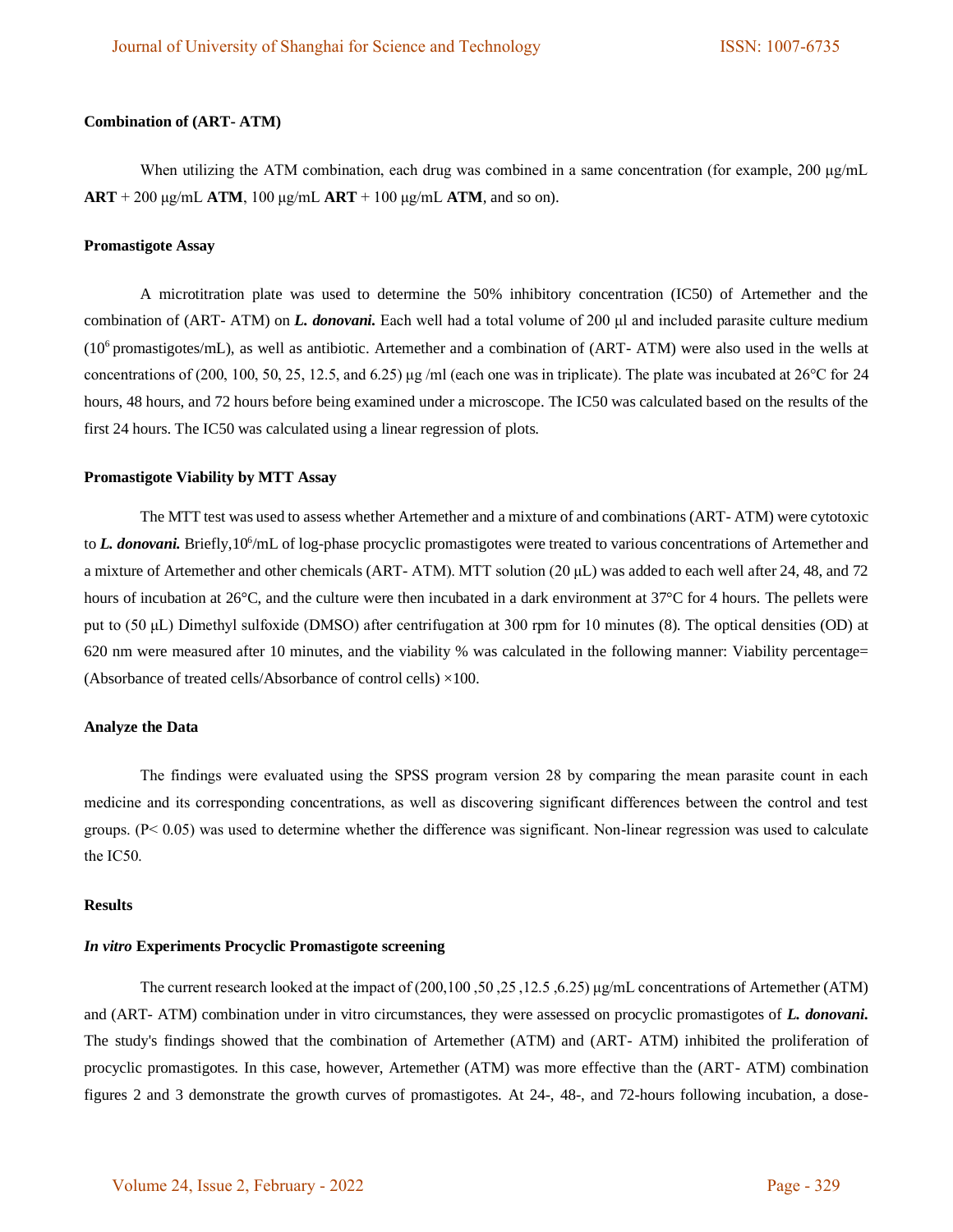## **Combination of (ART- ATM)**

When utilizing the ATM combination, each drug was combined in a same concentration (for example, 200 μg/mL **ART** + 200 μg/mL **ATM**, 100 μg/mL **ART** + 100 μg/mL **ATM**, and so on).

#### **Promastigote Assay**

A microtitration plate was used to determine the 50% inhibitory concentration (IC50) of Artemether and the combination of (ART- ATM) on *L. donovani.* Each well had a total volume of 200 μl and included parasite culture medium  $(10<sup>6</sup>$  promastigotes/mL), as well as antibiotic. Artemether and a combination of (ART- ATM) were also used in the wells at concentrations of (200, 100, 50, 25, 12.5, and 6.25) μg /ml (each one was in triplicate). The plate was incubated at 26°C for 24 hours, 48 hours, and 72 hours before being examined under a microscope. The IC50 was calculated based on the results of the first 24 hours. The IC50 was calculated using a linear regression of plots.

## **Promastigote Viability by MTT Assay**

The MTT test was used to assess whether Artemether and a mixture of and combinations (ART- ATM) were cytotoxic to *L. donovani*. Briefly, 10<sup>6</sup>/mL of log-phase procyclic promastigotes were treated to various concentrations of Artemether and a mixture of Artemether and other chemicals (ART- ATM). MTT solution (20 μL) was added to each well after 24, 48, and 72 hours of incubation at 26°C, and the culture were then incubated in a dark environment at 37°C for 4 hours. The pellets were put to (50 μL) Dimethyl sulfoxide (DMSO) after centrifugation at 300 rpm for 10 minutes (8). The optical densities (OD) at 620 nm were measured after 10 minutes, and the viability % was calculated in the following manner: Viability percentage= (Absorbance of treated cells/Absorbance of control cells) ×100.

#### **Analyze the Data**

The findings were evaluated using the SPSS program version 28 by comparing the mean parasite count in each medicine and its corresponding concentrations, as well as discovering significant differences between the control and test groups. (P< 0.05) was used to determine whether the difference was significant. Non-linear regression was used to calculate the IC50.

#### **Results**

#### *In vitro* **Experiments Procyclic Promastigote screening**

The current research looked at the impact of (200,100 ,50 ,25 ,12.5 ,6.25) μg/mL concentrations of Artemether (ATM) and (ART- ATM) combination under in vitro circumstances, they were assessed on procyclic promastigotes of *L. donovani.*  The study's findings showed that the combination of Artemether (ATM) and (ART- ATM) inhibited the proliferation of procyclic promastigotes. In this case, however, Artemether (ATM) was more effective than the (ART- ATM) combination figures 2 and 3 demonstrate the growth curves of promastigotes. At 24-, 48-, and 72-hours following incubation, a dose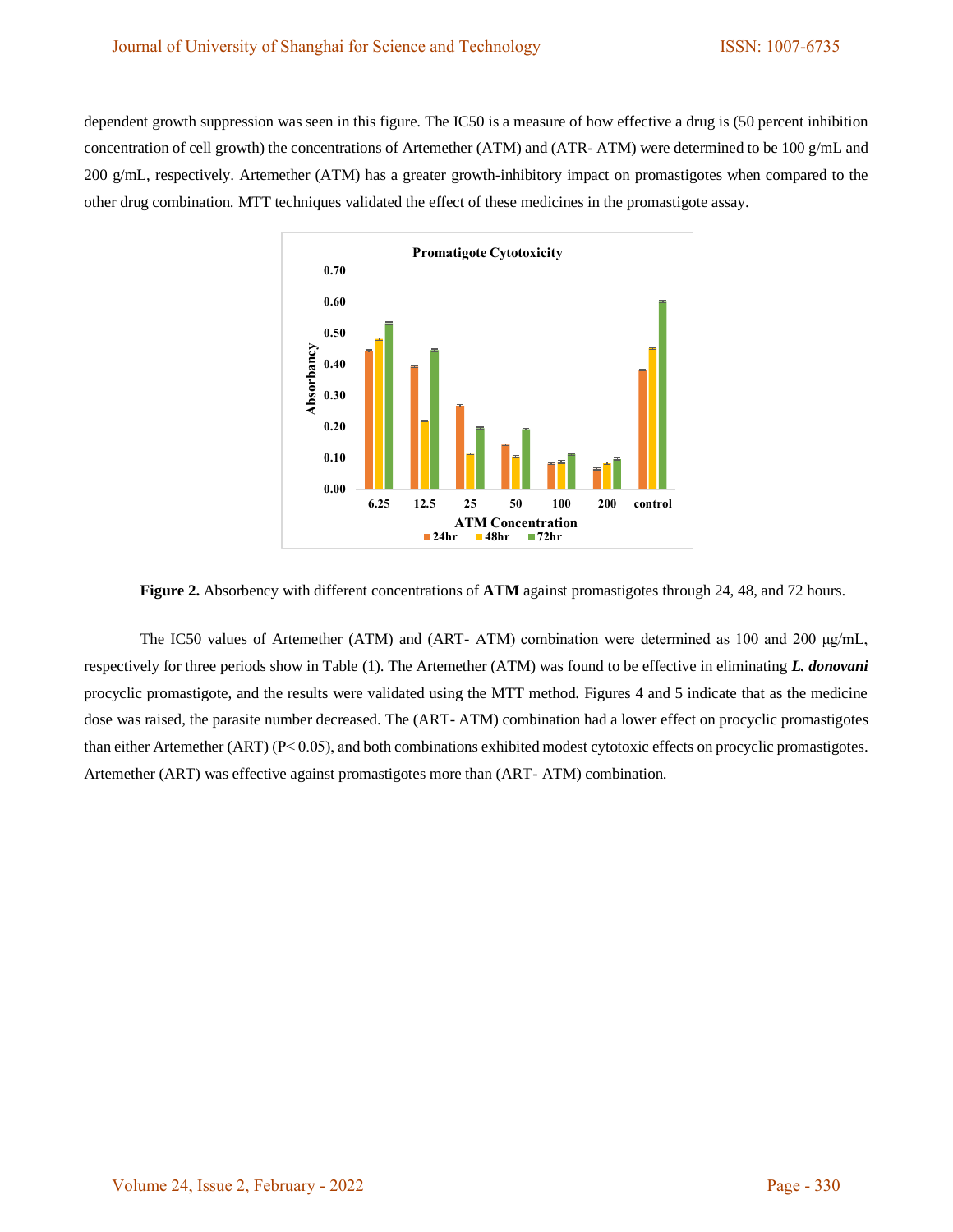dependent growth suppression was seen in this figure. The IC50 is a measure of how effective a drug is (50 percent inhibition concentration of cell growth) the concentrations of Artemether (ATM) and (ATR- ATM) were determined to be 100 g/mL and 200 g/mL, respectively. Artemether (ATM) has a greater growth-inhibitory impact on promastigotes when compared to the other drug combination. MTT techniques validated the effect of these medicines in the promastigote assay.



**Figure 2.** Absorbency with different concentrations of **ATM** against promastigotes through 24, 48, and 72 hours.

The IC50 values of Artemether (ATM) and (ART- ATM) combination were determined as 100 and 200 μg/mL, respectively for three periods show in Table (1). The Artemether (ATM) was found to be effective in eliminating *L. donovani*  procyclic promastigote, and the results were validated using the MTT method. Figures 4 and 5 indicate that as the medicine dose was raised, the parasite number decreased. The (ART- ATM) combination had a lower effect on procyclic promastigotes than either Artemether (ART) ( $P < 0.05$ ), and both combinations exhibited modest cytotoxic effects on procyclic promastigotes. Artemether (ART) was effective against promastigotes more than (ART- ATM) combination.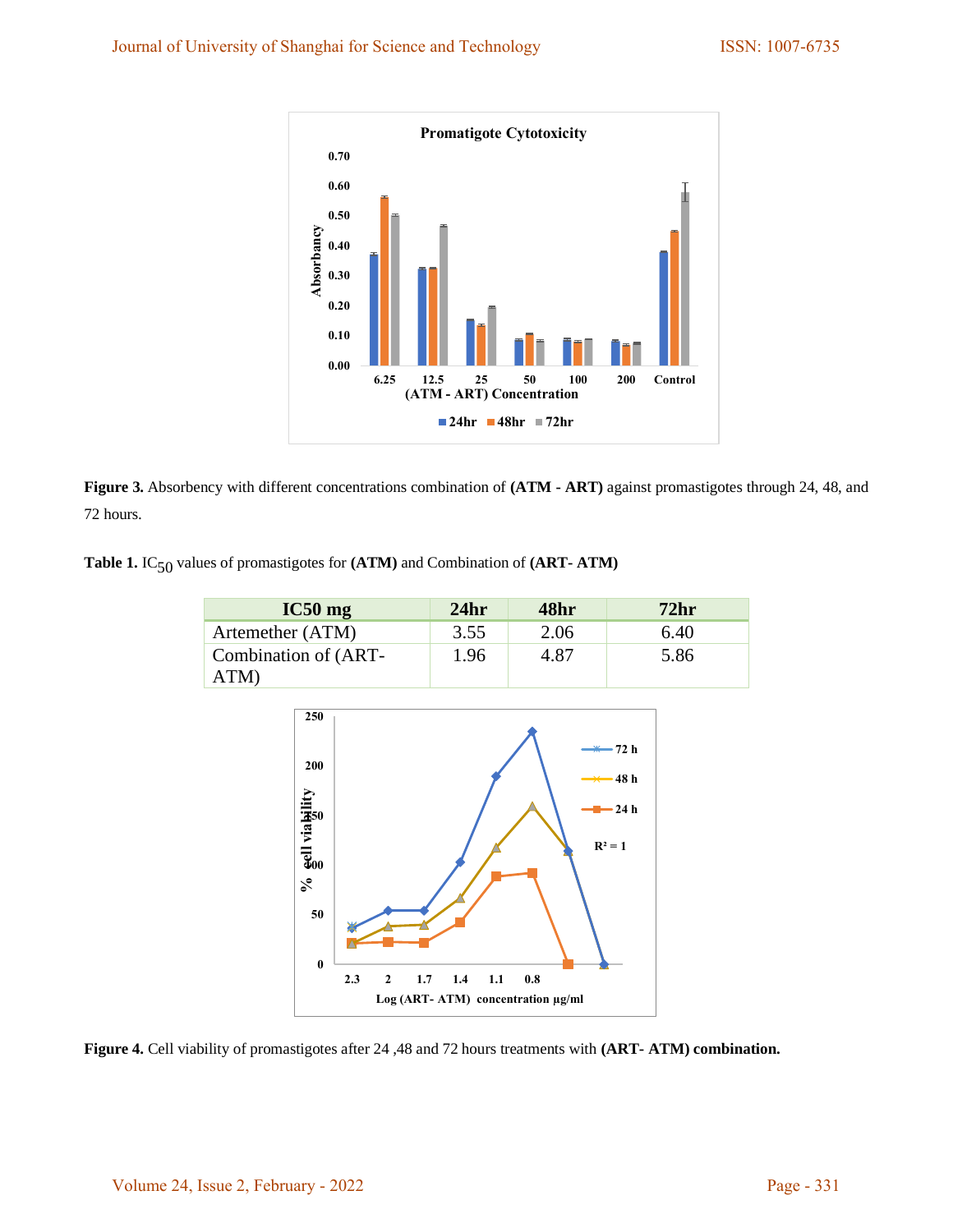

**Figure 3.** Absorbency with different concentrations combination of **(ATM - ART)** against promastigotes through 24, 48, and 72 hours.

**Table 1.** IC50 values of promastigotes for **(ATM)** and Combination of **(ART- ATM)**

| $IC50$ mg                    | 24hr | 48hr | 72 <sub>hr</sub> |
|------------------------------|------|------|------------------|
| Artemether (ATM)             | 3.55 | 2.06 | 6.40             |
| Combination of (ART-<br>ATM) | 1.96 | 4.87 | 5.86             |



**Figure 4.** Cell viability of promastigotes after 24 ,48 and 72 hours treatments with **(ART- ATM) combination.**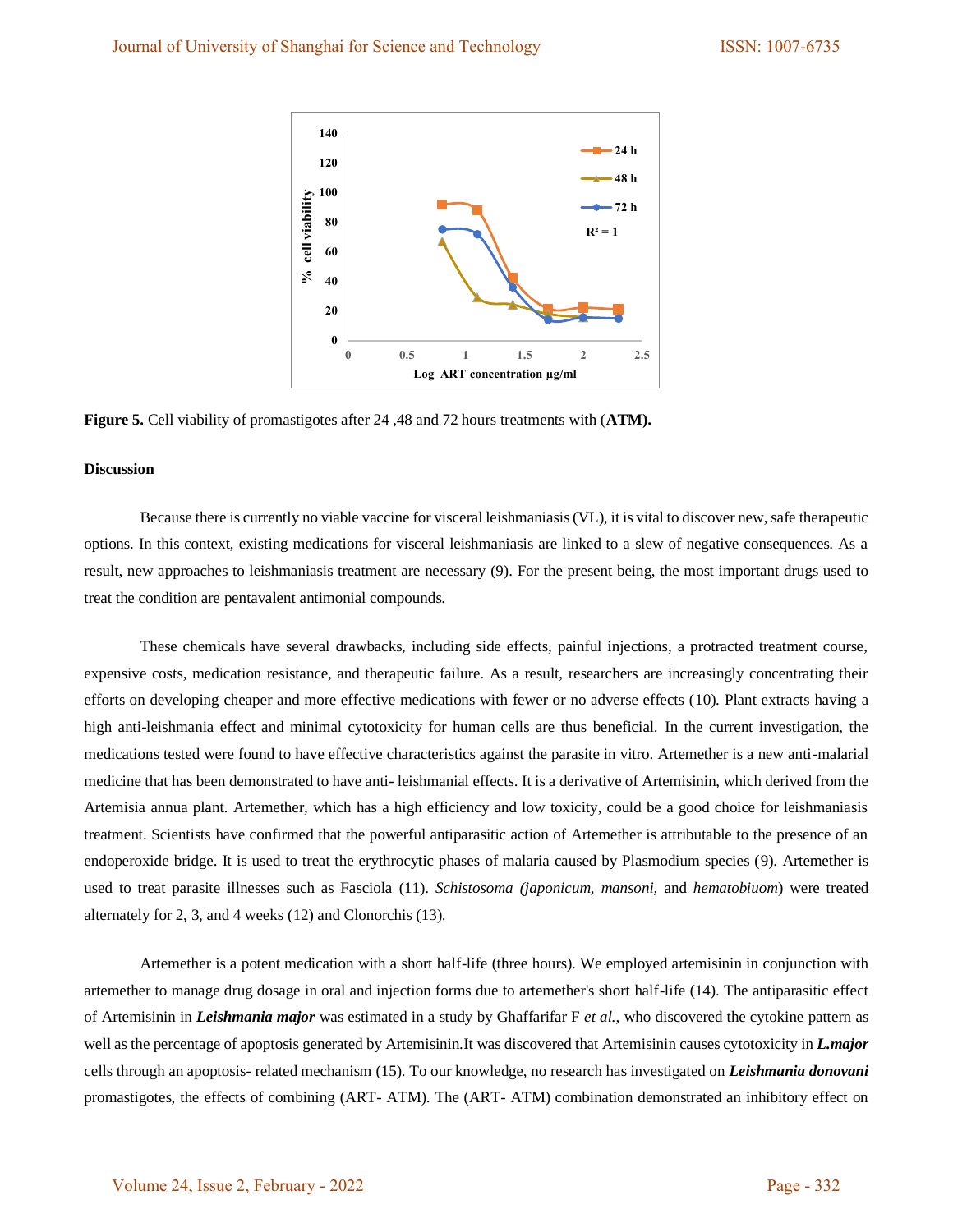

**Figure 5.** Cell viability of promastigotes after 24 ,48 and 72 hours treatments with (**ATM).**

#### **Discussion**

Because there is currently no viable vaccine for visceral leishmaniasis (VL), it is vital to discover new, safe therapeutic options. In this context, existing medications for visceral leishmaniasis are linked to a slew of negative consequences. As a result, new approaches to leishmaniasis treatment are necessary (9). For the present being, the most important drugs used to treat the condition are pentavalent antimonial compounds.

These chemicals have several drawbacks, including side effects, painful injections, a protracted treatment course, expensive costs, medication resistance, and therapeutic failure. As a result, researchers are increasingly concentrating their efforts on developing cheaper and more effective medications with fewer or no adverse effects (10). Plant extracts having a high anti-leishmania effect and minimal cytotoxicity for human cells are thus beneficial. In the current investigation, the medications tested were found to have effective characteristics against the parasite in vitro. Artemether is a new anti-malarial medicine that has been demonstrated to have anti- leishmanial effects. It is a derivative of Artemisinin, which derived from the Artemisia annua plant. Artemether, which has a high efficiency and low toxicity, could be a good choice for leishmaniasis treatment. Scientists have confirmed that the powerful antiparasitic action of Artemether is attributable to the presence of an endoperoxide bridge. It is used to treat the erythrocytic phases of malaria caused by Plasmodium species (9). Artemether is used to treat parasite illnesses such as Fasciola (11). *Schistosoma (japonicum, mansoni,* and *hematobiuom*) were treated alternately for 2, 3, and 4 weeks (12) and Clonorchis (13).

Artemether is a potent medication with a short half-life (three hours). We employed artemisinin in conjunction with artemether to manage drug dosage in oral and injection forms due to artemether's short half-life (14). The antiparasitic effect of Artemisinin in *Leishmania major* was estimated in a study by Ghaffarifar F *et al.,* who discovered the cytokine pattern as well as the percentage of apoptosis generated by Artemisinin.It was discovered that Artemisinin causes cytotoxicity in *L.major* cells through an apoptosis- related mechanism (15). To our knowledge, no research has investigated on *Leishmania donovani* promastigotes, the effects of combining (ART- ATM). The (ART- ATM) combination demonstrated an inhibitory effect on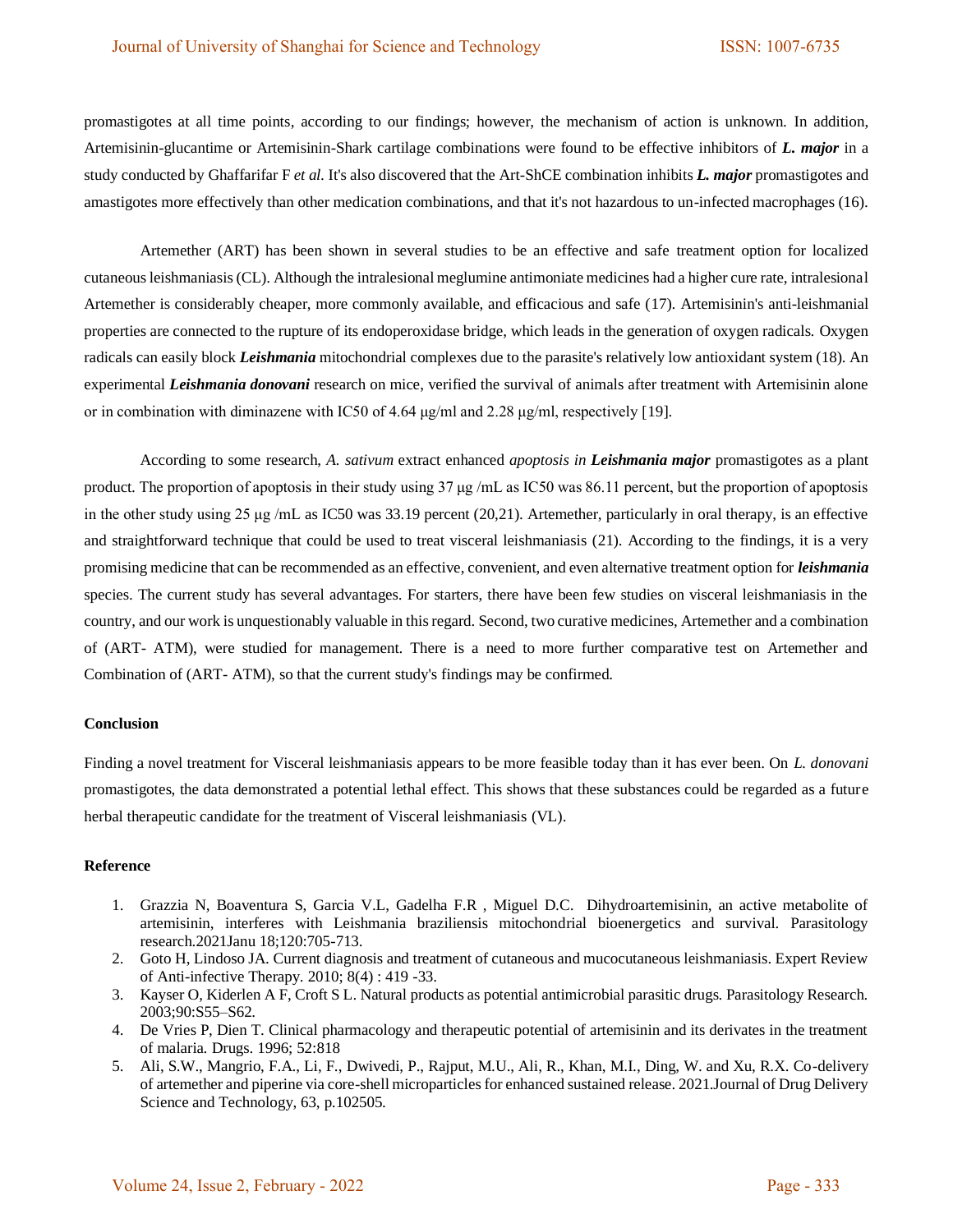promastigotes at all time points, according to our findings; however, the mechanism of action is unknown. In addition, Artemisinin-glucantime or Artemisinin-Shark cartilage combinations were found to be effective inhibitors of *L. major* in a study conducted by Ghaffarifar F *et al.* It's also discovered that the Art-ShCE combination inhibits *L. major* promastigotes and amastigotes more effectively than other medication combinations, and that it's not hazardous to un-infected macrophages (16).

Artemether (ART) has been shown in several studies to be an effective and safe treatment option for localized cutaneous leishmaniasis (CL). Although the intralesional meglumine antimoniate medicines had a higher cure rate, intralesional Artemether is considerably cheaper, more commonly available, and efficacious and safe (17). Artemisinin's anti-leishmanial properties are connected to the rupture of its endoperoxidase bridge, which leads in the generation of oxygen radicals. Oxygen radicals can easily block *Leishmania* mitochondrial complexes due to the parasite's relatively low antioxidant system (18). An experimental *Leishmania donovani* research on mice, verified the survival of animals after treatment with Artemisinin alone or in combination with diminazene with IC50 of 4.64 μg/ml and 2.28 μg/ml, respectively [19].

According to some research, *A. sativum* extract enhanced *apoptosis in Leishmania major* promastigotes as a plant product*.* The proportion of apoptosis in their study using 37 μg /mL as IC50 was 86.11 percent, but the proportion of apoptosis in the other study using 25 μg /mL as IC50 was 33.19 percent (20,21). Artemether, particularly in oral therapy, is an effective and straightforward technique that could be used to treat visceral leishmaniasis (21). According to the findings, it is a very promising medicine that can be recommended as an effective, convenient, and even alternative treatment option for *leishmania*  species. The current study has several advantages. For starters, there have been few studies on visceral leishmaniasis in the country, and our work is unquestionably valuable in this regard. Second, two curative medicines, Artemether and a combination of (ART- ATM), were studied for management. There is a need to more further comparative test on Artemether and Combination of (ART- ATM), so that the current study's findings may be confirmed.

## **Conclusion**

Finding a novel treatment for Visceral leishmaniasis appears to be more feasible today than it has ever been. On *L. donovani* promastigotes, the data demonstrated a potential lethal effect. This shows that these substances could be regarded as a future herbal therapeutic candidate for the treatment of Visceral leishmaniasis (VL).

## **Reference**

- 1. Grazzia N, Boaventura S, Garcia V.L, Gadelha F.R , Miguel D.C. Dihydroartemisinin, an active metabolite of artemisinin, interferes with Leishmania braziliensis mitochondrial bioenergetics and survival. Parasitology research.2021Janu 18;120:705-713.
- 2. Goto H, Lindoso JA. Current diagnosis and treatment of cutaneous and mucocutaneous leishmaniasis. Expert Review of Anti-infective Therapy. 2010; 8(4) : 419 -33.
- 3. Kayser O, Kiderlen A F, Croft S L. Natural products as potential antimicrobial parasitic drugs. Parasitology Research. 2003;90:S55–S62.
- 4. De Vries P, Dien T. Clinical pharmacology and therapeutic potential of artemisinin and its derivates in the treatment of malaria. Drugs. 1996; 52:818
- 5. Ali, S.W., Mangrio, F.A., Li, F., Dwivedi, P., Rajput, M.U., Ali, R., Khan, M.I., Ding, W. and Xu, R.X. Co-delivery of artemether and piperine via core-shell microparticles for enhanced sustained release. 2021.Journal of Drug Delivery Science and Technology, 63, p.102505.